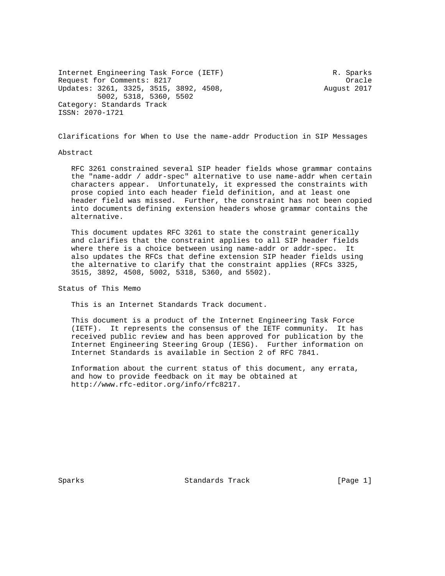Internet Engineering Task Force (IETF) R. Sparks Request for Comments: 8217 Channels: 8217 Updates: 3261, 3325, 3515, 3892, 4508, August 2017 5002, 5318, 5360, 5502 Category: Standards Track ISSN: 2070-1721

Clarifications for When to Use the name-addr Production in SIP Messages

#### Abstract

 RFC 3261 constrained several SIP header fields whose grammar contains the "name-addr / addr-spec" alternative to use name-addr when certain characters appear. Unfortunately, it expressed the constraints with prose copied into each header field definition, and at least one header field was missed. Further, the constraint has not been copied into documents defining extension headers whose grammar contains the alternative.

 This document updates RFC 3261 to state the constraint generically and clarifies that the constraint applies to all SIP header fields where there is a choice between using name-addr or addr-spec. It also updates the RFCs that define extension SIP header fields using the alternative to clarify that the constraint applies (RFCs 3325, 3515, 3892, 4508, 5002, 5318, 5360, and 5502).

Status of This Memo

This is an Internet Standards Track document.

 This document is a product of the Internet Engineering Task Force (IETF). It represents the consensus of the IETF community. It has received public review and has been approved for publication by the Internet Engineering Steering Group (IESG). Further information on Internet Standards is available in Section 2 of RFC 7841.

 Information about the current status of this document, any errata, and how to provide feedback on it may be obtained at http://www.rfc-editor.org/info/rfc8217.

Sparks Standards Track [Page 1]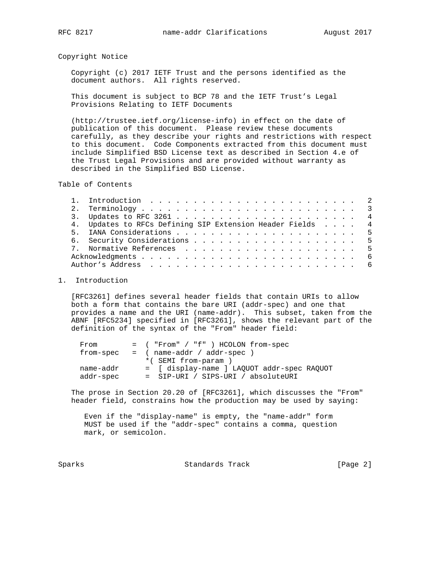Copyright Notice

 Copyright (c) 2017 IETF Trust and the persons identified as the document authors. All rights reserved.

 This document is subject to BCP 78 and the IETF Trust's Legal Provisions Relating to IETF Documents

 (http://trustee.ietf.org/license-info) in effect on the date of publication of this document. Please review these documents carefully, as they describe your rights and restrictions with respect to this document. Code Components extracted from this document must include Simplified BSD License text as described in Section 4.e of the Trust Legal Provisions and are provided without warranty as described in the Simplified BSD License.

Table of Contents

|  | 4. Updates to RFCs Defining SIP Extension Header Fields 4 |  |
|--|-----------------------------------------------------------|--|
|  |                                                           |  |
|  | 6. Security Considerations 5                              |  |
|  |                                                           |  |
|  |                                                           |  |
|  |                                                           |  |
|  |                                                           |  |

## 1. Introduction

 [RFC3261] defines several header fields that contain URIs to allow both a form that contains the bare URI (addr-spec) and one that provides a name and the URI (name-addr). This subset, taken from the ABNF [RFC5234] specified in [RFC3261], shows the relevant part of the definition of the syntax of the "From" header field:

| From      | = ( "From" / "f" ) HCOLON from-spec        |
|-----------|--------------------------------------------|
| from-spec | $=$ ( name-addr / addr-spec )              |
|           | *(SEMI from-param)                         |
| name-addr | = [ display-name ] LAQUOT addr-spec RAQUOT |
| addr-spec | = SIP-URI / SIPS-URI / absoluteURI         |

 The prose in Section 20.20 of [RFC3261], which discusses the "From" header field, constrains how the production may be used by saying:

 Even if the "display-name" is empty, the "name-addr" form MUST be used if the "addr-spec" contains a comma, question mark, or semicolon.

Sparks Standards Track [Page 2]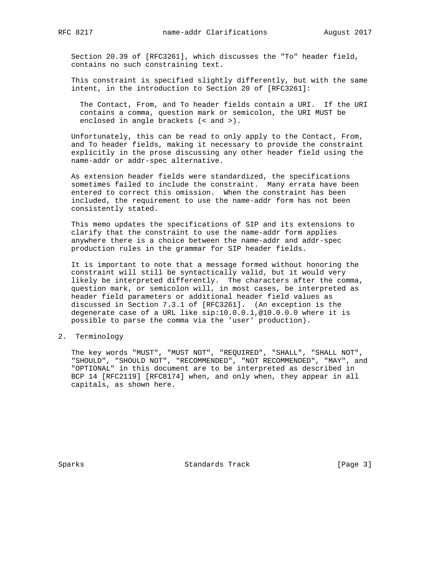Section 20.39 of [RFC3261], which discusses the "To" header field, contains no such constraining text.

 This constraint is specified slightly differently, but with the same intent, in the introduction to Section 20 of [RFC3261]:

 The Contact, From, and To header fields contain a URI. If the URI contains a comma, question mark or semicolon, the URI MUST be enclosed in angle brackets (< and >).

 Unfortunately, this can be read to only apply to the Contact, From, and To header fields, making it necessary to provide the constraint explicitly in the prose discussing any other header field using the name-addr or addr-spec alternative.

 As extension header fields were standardized, the specifications sometimes failed to include the constraint. Many errata have been entered to correct this omission. When the constraint has been included, the requirement to use the name-addr form has not been consistently stated.

 This memo updates the specifications of SIP and its extensions to clarify that the constraint to use the name-addr form applies anywhere there is a choice between the name-addr and addr-spec production rules in the grammar for SIP header fields.

 It is important to note that a message formed without honoring the constraint will still be syntactically valid, but it would very likely be interpreted differently. The characters after the comma, question mark, or semicolon will, in most cases, be interpreted as header field parameters or additional header field values as discussed in Section 7.3.1 of [RFC3261]. (An exception is the degenerate case of a URL like sip:10.0.0.1,@10.0.0.0 where it is possible to parse the comma via the 'user' production).

2. Terminology

 The key words "MUST", "MUST NOT", "REQUIRED", "SHALL", "SHALL NOT", "SHOULD", "SHOULD NOT", "RECOMMENDED", "NOT RECOMMENDED", "MAY", and "OPTIONAL" in this document are to be interpreted as described in BCP 14 [RFC2119] [RFC8174] when, and only when, they appear in all capitals, as shown here.

Sparks Standards Track [Page 3]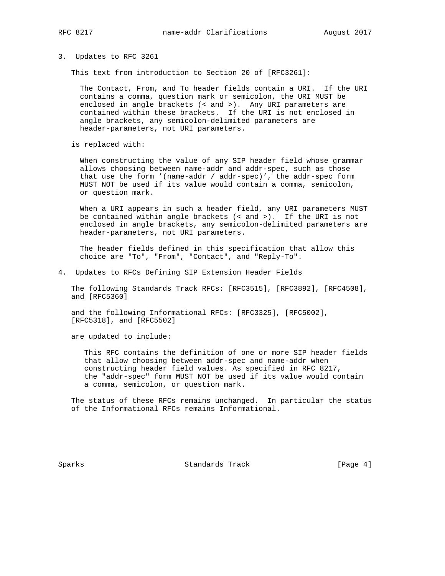### 3. Updates to RFC 3261

This text from introduction to Section 20 of [RFC3261]:

 The Contact, From, and To header fields contain a URI. If the URI contains a comma, question mark or semicolon, the URI MUST be enclosed in angle brackets (< and >). Any URI parameters are contained within these brackets. If the URI is not enclosed in angle brackets, any semicolon-delimited parameters are header-parameters, not URI parameters.

is replaced with:

 When constructing the value of any SIP header field whose grammar allows choosing between name-addr and addr-spec, such as those that use the form '(name-addr / addr-spec)', the addr-spec form MUST NOT be used if its value would contain a comma, semicolon, or question mark.

 When a URI appears in such a header field, any URI parameters MUST be contained within angle brackets (< and >). If the URI is not enclosed in angle brackets, any semicolon-delimited parameters are header-parameters, not URI parameters.

 The header fields defined in this specification that allow this choice are "To", "From", "Contact", and "Reply-To".

4. Updates to RFCs Defining SIP Extension Header Fields

 The following Standards Track RFCs: [RFC3515], [RFC3892], [RFC4508], and [RFC5360]

 and the following Informational RFCs: [RFC3325], [RFC5002], [RFC5318], and [RFC5502]

are updated to include:

 This RFC contains the definition of one or more SIP header fields that allow choosing between addr-spec and name-addr when constructing header field values. As specified in RFC 8217, the "addr-spec" form MUST NOT be used if its value would contain a comma, semicolon, or question mark.

 The status of these RFCs remains unchanged. In particular the status of the Informational RFCs remains Informational.

Sparks Standards Track [Page 4]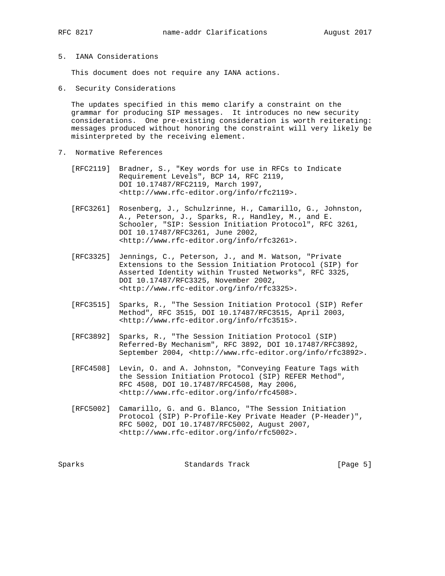# 5. IANA Considerations

This document does not require any IANA actions.

6. Security Considerations

 The updates specified in this memo clarify a constraint on the grammar for producing SIP messages. It introduces no new security considerations. One pre-existing consideration is worth reiterating: messages produced without honoring the constraint will very likely be misinterpreted by the receiving element.

- 7. Normative References
	- [RFC2119] Bradner, S., "Key words for use in RFCs to Indicate Requirement Levels", BCP 14, RFC 2119, DOI 10.17487/RFC2119, March 1997, <http://www.rfc-editor.org/info/rfc2119>.
	- [RFC3261] Rosenberg, J., Schulzrinne, H., Camarillo, G., Johnston, A., Peterson, J., Sparks, R., Handley, M., and E. Schooler, "SIP: Session Initiation Protocol", RFC 3261, DOI 10.17487/RFC3261, June 2002, <http://www.rfc-editor.org/info/rfc3261>.
	- [RFC3325] Jennings, C., Peterson, J., and M. Watson, "Private Extensions to the Session Initiation Protocol (SIP) for Asserted Identity within Trusted Networks", RFC 3325, DOI 10.17487/RFC3325, November 2002, <http://www.rfc-editor.org/info/rfc3325>.
	- [RFC3515] Sparks, R., "The Session Initiation Protocol (SIP) Refer Method", RFC 3515, DOI 10.17487/RFC3515, April 2003, <http://www.rfc-editor.org/info/rfc3515>.
	- [RFC3892] Sparks, R., "The Session Initiation Protocol (SIP) Referred-By Mechanism", RFC 3892, DOI 10.17487/RFC3892, September 2004, <http://www.rfc-editor.org/info/rfc3892>.
	- [RFC4508] Levin, O. and A. Johnston, "Conveying Feature Tags with the Session Initiation Protocol (SIP) REFER Method", RFC 4508, DOI 10.17487/RFC4508, May 2006, <http://www.rfc-editor.org/info/rfc4508>.
	- [RFC5002] Camarillo, G. and G. Blanco, "The Session Initiation Protocol (SIP) P-Profile-Key Private Header (P-Header)", RFC 5002, DOI 10.17487/RFC5002, August 2007, <http://www.rfc-editor.org/info/rfc5002>.

Sparks Standards Track [Page 5]